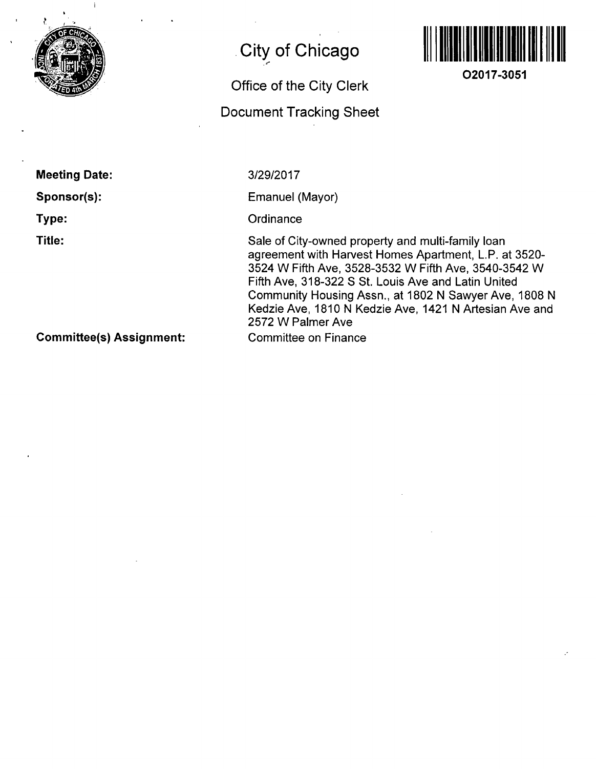

# **City of Chicago**

# **Office of the City Clerk**

## **Document Tracking Sheet**



**O2017-3051** 

**Meeting Date: Sponsor(s): Type:** 

**Title:** 

3/29/2017

Emanuel (Mayor)

**Ordinance** 

Sale of City-owned property and multi-family loan agreement with Harvest Homes Apartment, L.P. at 3520- 3524 W Fifth Ave, 3528-3532 W Fifth Ave, 3540-3542 W Fifth Ave, 318-322 S St. Louis Ave and Latin United Community Housing Assn., at 1802 N Sawyer Ave, 1808 N Kedzie Ave, 1810 N Kedzie Ave, 1421 N Artesian Ave and 2572 W Palmer Ave Committee on Finance

**Committee(s) Assignment:**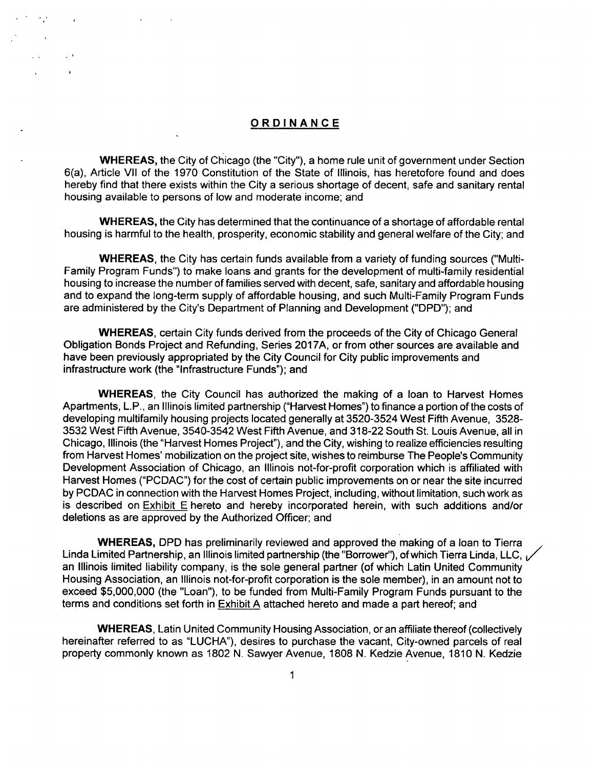#### **ORDINANC E**

 $\mathbf{A}^{\mathbf{r}}$ 

WHEREAS, the City of Chicago (the "City"), a home rule unit of government under Section 6(a), Article Vll of the 1970 Constitution of the State of Illinois, has heretofore found and does hereby find that there exists within the City a serious shortage of decent, safe and sanitary rental housing available to persons of low and moderate income; and

WHEREAS, the City has determined that the continuance of a shortage of affordable rental housing is harmful to the health, prosperity, economic stability and general welfare of the City; and

WHEREAS, the City has certain funds available from a variety of funding sources ("Multi-Family Program Funds") to make loans and grants for the development of multi-family residential housing to increase the number of families served with decent, safe, sanitary and affordable housing and to expand the long-term supply of affordable housing, and such Multi-Family Program Funds are administered by the City's Department of Planning and Development ("DPD"); and

WHEREAS, certain City funds derived from the proceeds of the City of Chicago General Obligation Bonds Project and Refunding, Series 2017A, or from other sources are available and have been previously appropriated by the City Council for City public improvements and infrastructure work (the "Infrastructure Funds"); and

WHEREAS, the City Council has authorized the making of a loan to Harvest Homes Apartments, L.P., an Illinois limited partnership ("Harvest Homes") to finance a portion of the costs of developing multifamlly housing projects located generally at 3520-3524 West Fifth Avenue, 3528- 3532 West Fifth Avenue, 3540-3542 West Fifth Avenue, and 318-22 South St. Louis Avenue, all in Chicago, Illinois (the "Han/est Homes Project"), and the City, wishing to realize efficiencies resulting from Harvest Homes' mobilization on the project site, wishes to reimburse The People's Community Development Association of Chicago, an Illinois not-for-profit corporation which is affiliated with Harvest Homes ("PCDAC") for the cost of certain public improvements on or near the site incurred by PCDAC in connection with the Harvest Homes Project, including, without limitation, such work as is described on Exhibit E hereto and hereby incorporated herein, with such additions and/or deletions as are approved by the Authorized Officer; and

WHEREAS, DPD has preliminarily reviewed and approved the making of a loan to Tierra Linda Limited Partnership, an Illinois limited partnership (the "Borrower"), of which Tierra Linda, LLC, 1/ an Illinois limited liability company, is the sole general partner (of which Latin United Community Housing Association, an Illinois not-for-profit corporation is the sole member), in an amount not to exceed \$5,000,000 (the "Loan"), to be funded from Multi-Family Program Funds pursuant to the terms and conditions set forth in Exhibit A attached hereto and made a part hereof; and

WHEREAS, Latin United Community Housing Association, or an affiliate thereof (collectively hereinafter referred to as "LUCHA"), desires to purchase the vacant. City-owned parcels of real property commonly known as 1802 N. Sawyer Avenue, 1808 N. Kedzie Avenue, 1810 N. Kedzie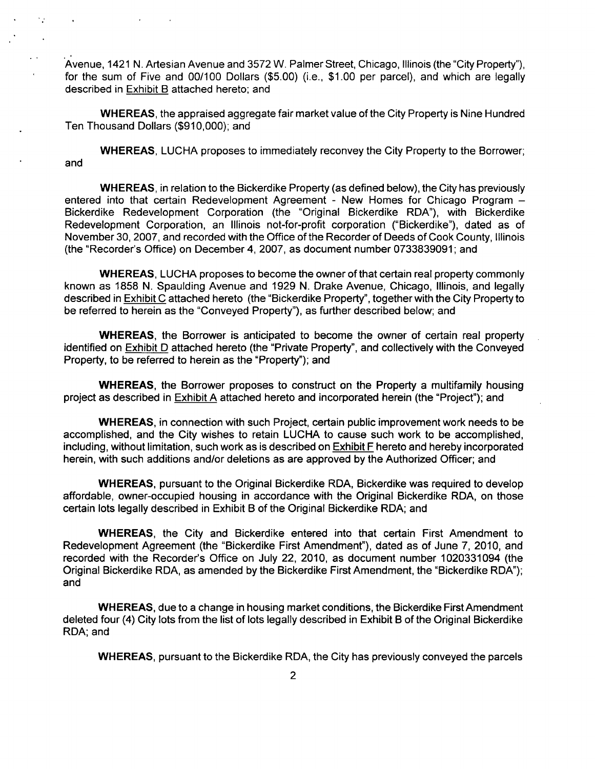Avenue, 1421 N. Artesian Avenue and 3572 W. Palmer Street, Chicago, Illinois (the "City Property"), for the sum of Five and 00/100 Dollars (\$5.00) (i.e., \$1.00 per parcel), and which are legally described in Exhibit B attached hereto; and

WHEREAS, the appraised aggregate fair market value of the City Property is Nine Hundred Ten Thousand Dollars (\$910,000); and

WHEREAS, LUCHA proposes to immediately reconvey the City Property to the Borrower; and

WHEREAS, in relation to the Bickerdike Property (as defined below), the City has previously entered into that certain Redevelopment Agreement - New Homes for Chicago Program -Bickerdike Redevelopment Corporation (the "Original Bickerdike RDA"), with Bickerdike Redevelopment Corporation, an Illinois not-for-profit corporation ("Bickerdike"), dated as of November 30, 2007, and recorded with the Office of the Recorder of Deeds of Cook County, Illinois (the "Recorder's Office) on December 4, 2007, as document number 0733839091; and

WHEREAS, LUCHA proposes to become the owner of that certain real property commonly known as 1858 N. Spaulding Avenue and 1929 N. Drake Avenue, Chicago, Illinois, and legally described in Exhibit C attached hereto (the "Bickerdike Property", together with the City Property to be referred to herein as the "Conveyed Property"), as further described below; and

WHEREAS, the Borrower is anticipated to become the owner of certain real property identified on **Exhibit D** attached hereto (the "Private Property", and collectively with the Conveyed Property, to be referred to herein as the "Property"); and

WHEREAS, the Borrower proposes to construct on the Property a multifamily housing project as described in Exhibit A attached hereto and incorporated herein (the "Project"); and

WHEREAS, in connection with such Project, certain public improvement work needs to be accomplished, and the City wishes to retain LUCHA to cause such work to be accomplished, including, without limitation, such work as is described on Exhibit F hereto and hereby incorporated herein, with such additions and/or deletions as are approved by the Authorized Officer; and

WHEREAS, pursuant to the Original Bickerdike RDA, Bickerdike was required to develop affordable, owner-occupied housing in accordance with the Original Bickerdike RDA, on those certain lots legally described in Exhibit B of the Original Bickerdike RDA; and

WHEREAS, the City and Bickerdike entered into that certain First Amendment to Redevelopment Agreement (the "Bickerdike First Amendment"), dated as of June 7, 2010, and recorded with the Recorder's Office on July 22, 2010, as document number 1020331094 (the Original Bickerdike RDA, as amended bythe Bickerdike First Amendment, the "Bickerdike RDA"); and

WHEREAS, due to a change in housing market conditions, the Bickerdike First Amendment deleted four (4) City lots from the list of lots legally described in Exhibit B of the Original Bickerdike RDA; and

WHEREAS, pursuant to the Bickerdike RDA, the City has previously conveyed the parcels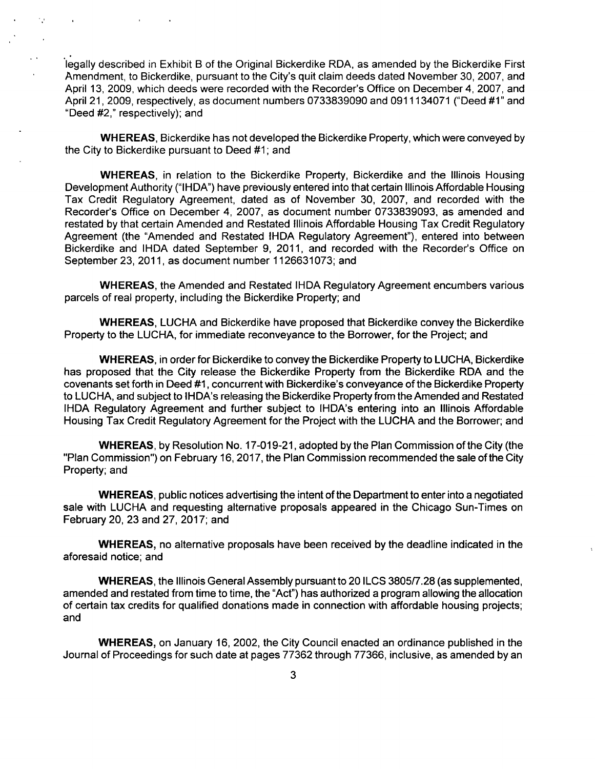legally described in Exhibit B of the Original Bickerdike RDA, as amended by the Bickerdike First Amendment, to Bickerdike, pursuant to the City's quit claim deeds dated November 30, 2007, and April 13, 2009, which deeds were recorded with the Recorder's Office on December 4, 2007, and April 21, 2009, respectively, as document numbers 0733839090 and 0911134071 ("Deed #1" and "Deed #2," respectively); and

WHEREAS, Bickerdike has not developed the Bickerdike Property, which were conveyed by the City to Bickerdike pursuant to Deed #1; and

WHEREAS, In relation to the Bickerdike Property, Bickerdike and the Illinois Housing Development Authority ("IHDA") have previously entered into that certain Illinois Affordable Housing Tax Credit Regulatory Agreement, dated as of November 30, 2007, and recorded with the Recorder's Office on December 4, 2007, as document number 0733839093, as amended and restated by that certain Amended and Restated Illinois Affordable Housing Tax Credit Regulatory Agreement (the "Amended and Restated IHDA Regulatory Agreement"), entered into between Bickerdike and IHDA dated September 9, 2011, and recorded with the Recorder's Office on September 23, 2011, as document number 1126631073; and

WHEREAS, the Amended and Restated IHDA Regulatory Agreement encumbers various parcels of real property, including the Bickerdike Property; and

WHEREAS, LUCHA and Bickerdike have proposed that Bickerdike convey the Bickerdike Property to the LUCHA, for immediate reconveyance to the Borrower, for the Project; and

WHEREAS, in order for Bickerdike to convey the Bickerdike Property to LUCHA, Bickerdike has proposed that the City release the Bickerdike Property from the Bickerdike RDA and the covenants set forth in Deed #1, concurrent with Bickerdike's conveyance ofthe Bickerdike Property to LUCHA, and subject to IHDA's releasing the Bickerdike Property from the Amended and Restated IHDA Regulatory Agreement and further subject to IHDA's entering into an Illinois Affordable Housing Tax Credit Regulatory Agreement for the Project with the LUCHA and the Borrower; and

WHEREAS, by Resolution No. 17-019-21, adopted by the Plan Commission of the City (the "Plan Commission") on February 16, 2017, the Plan Commission recommended the sale ofthe City Property; and

WHEREAS, public notices advertising the intent ofthe Department to enter into a negotiated sale with LUCHA and requesting alternative proposals appeared in the Chicago Sun-Times on February 20, 23 and 27, 2017; and

WHEREAS, no alternative proposals have been received by the deadline indicated in the aforesaid notice; and

WHEREAS, the Illinois General Assembly pursuant to 20 ILCS 3805/7.28 (as supplemented, amended and restated from time to time, the "Act") has authorized a program allowing the allocation of certain tax credits for qualified donations made in connection with affordable housing projects; and

WHEREAS, on January 16, 2002, the City Council enacted an ordinance published in the Journal of Proceedings for such date at pages 77362 through 77366, inclusive, as amended by an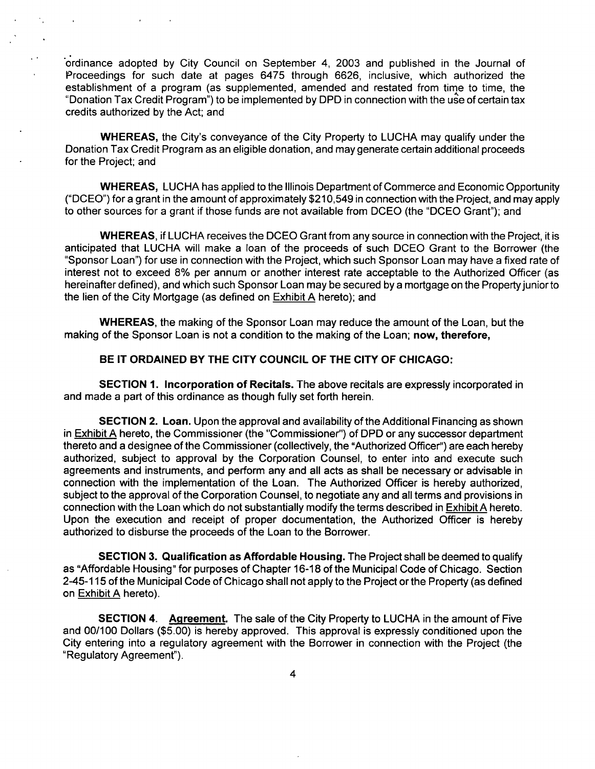"ordinance adopted by City Council on September 4, 2003 and published in the Journal of Proceedings for such date at pages 6475 through 6626, Inclusive, which authorized the establishment of a program (as supplemented, amended and restated from time to time, the "Donation Tax Credit Program") to be implemented by DPD in connection with the use of certain tax credits authorized by the Act; and

WHEREAS, the City's conveyance of the City Property to LUCHA may qualify under the Donation Tax Credit Program as an eligible donation, and may generate certain additional proceeds for the Project; and

WHEREAS, LUCHA has applied to the Illinois Department of Commerce and Economic Opportunity ("DCEO") for a grant In the amount of approximately \$210,549 In connection with the Project, and may apply to other sources for a grant if those funds are not available from DCEO (the "DCEO Grant"); and

WHEREAS, If LUCHA receives the DCEO Grant from any source in connection with the Project, it is anticipated that LUCHA will make a loan of the proceeds of such DCEO Grant to the Borrower (the "Sponsor Loan") for use in connection with the Project, which such Sponsor Loan may have a fixed rate of interest not to exceed 8% per annum or another interest rate acceptable to the Authorized Officer (as hereinafter defined), and which such Sponsor Loan may be secured by a mortgage on the Property junior to the lien of the City Mortgage (as defined on Exhibit A hereto); and

**WHEREAS, the making of the Sponsor Loan may reduce the amount of the Loan, but the**  making of the Sponsor Loan is not a condition to the making of the Loan; now, therefore,

#### **BE IT ORDAINED BY THE CITY COUNCIL OF THE CITY OF CHICAGO:**

SECTION 1. Incorporation of Recitals. The above recitals are expressly incorporated in and made a part of this ordinance as though fully set forth herein.

SECTION 2. Loan. Upon the approval and availability of the Additional Financing as shown in Exhibit A hereto, the Commissioner (the "Commissioner") of DPD or any successor department thereto and a designee ofthe Commissioner (collectively, the "Authorized Officer") are each hereby authorized, subject to approval by the Corporation Counsel, to enter into and execute such agreements and instruments, and perform any and all acts as shall be necessary or advisable in connection with the implementation of the Loan. The Authorized Officer is hereby authorized, subject to the approval of the Corporation Counsel, to negotiate any and all terms and provisions in connection with the Loan which do not substantially modify the terms described in Exhibit A hereto. Upon the execution and receipt of proper documentation, the Authorized Officer is hereby authorized to disburse the proceeds of the Loan to the Borrower.

SECTION 3. Qualification as Affordable Housing. The Project shall be deemed to qualify as "Affordable Housing" for purposes of Chapter 16-18 ofthe Municipal Code of Chicago. Section 2-45-115 of the Municipal Code of Chicago shall not apply to the Project or the Property (as defined on Exhibit A hereto).

SECTION 4. Agreement. The sale of the City Property to LUCHA in the amount of Five and 00/100 Dollars (\$5.00) is hereby approved. This approval is expressly conditioned upon the City entering into a regulatory agreement with the Borrower in connection with the Project (the "Regulatory Agreement").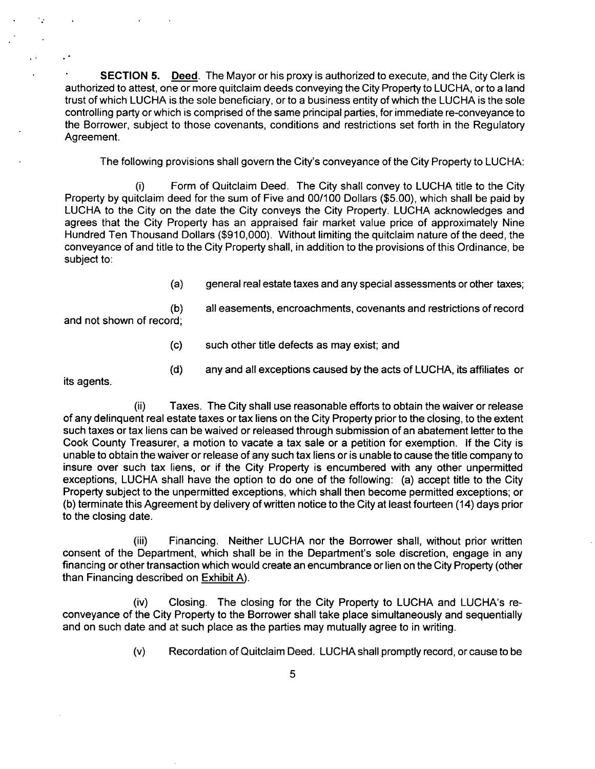$\bullet$ **SECTION 5.** Deed. The Mayor or his proxy is authorized to execute, and the City Clerk is authorized to attest, one or more quitclaim deeds conveying the City Property to LUCHA, or to a land trust of which LUCHA is the sole beneficiary, or to a business entity of which the LUCHA is the sole controlling party or which is comprised of the same principal parties, for immediate re-conveyance to the Borrower, subject to those covenants, conditions and restrictions set forth in the Regulatory Agreement.

The following provisions shall govern the City's conveyance ofthe City Property to LUCHA:

(i) Form of Quitclaim Deed. The City shall convey to LUCHA title to the City Property by quitclaim deed for the sum of Five and 00/100 Dollars (\$5.00), which shall be paid by LUCHA to the City on the date the City conveys the City Property. LUCHA acknowledges and agrees that the City Property has an appraised fair market value price of approximately Nine Hundred Ten Thousand Dollars (\$910,000). Without limiting the quitclaim nature of the deed, the conveyance of and title to the City Property shall, in addition to the provisions of this Ordinance, be subject to:

(a) general real estate taxes and any special assessments or other taxes;

(b) all easements, encroachments, covenants and restrictions of record and not shown of record;

- (c) such other title defects as may exist; and
- (d) any and all exceptions caused by the acts of LUCHA, its affiliates or

its agents.

 $\ddot{\phantom{1}}$ 

(ii) Taxes. The City shall use reasonable efforts to obtain the waiver or release of any delinquent real estate taxes or tax liens on the City Property prior to the closing, to the extent such taxes or tax liens can be waived or released through submission of an abatement letter to the Cook County Treasurer, a motion to vacate a tax sale or a petition for exemption. If the City is unable to obtain the waiver or release of any such tax liens or is unable to cause the title company to insure over such tax liens, or if the City Property is encumbered with any other unpermitted exceptions, LUCHA shall have the option to do one of the following: (a) accept title to the City Property subject to the unpermitted exceptions, which shall then become permitted exceptions; or (b) terminate this Agreement by delivery of written notice to the City at least fourteen (14) days prior to the closing date.

(iii) Financing. Neither LUCHA nor the Borrower shall, without prior written consent of the Department, which shall be in the Department's sole discretion, engage in any financing or other transaction which would create an encumbrance or lien on the City Property (other than Financing described on Exhibit A).

(iv) Closing. The closing for the City Property to LUCHA and LUCHA's reconveyance of the City Property to the Borrower shall take place simultaneously and sequentially and on such date and at such place as the parties may mutually agree to in writing.

(v) Recordation of Quitclaim Deed. LUCHA shall promptly record, or cause to be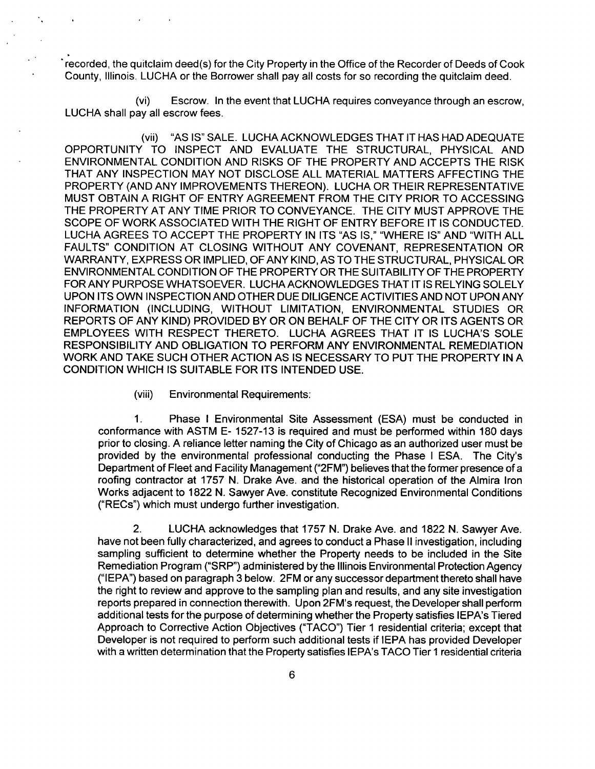" recorded, the quitclaim deed(s) for the City Property in the Office of the Recorder of Deeds of Cook County, Illinois. LUCHA or the Borrower shall pay all costs for so recording the quitclaim deed.

(vi) Escrow. In the event that LUCHA requires conveyance through an escrow, LUCHA shall pay all escrow fees.

(vii) "AS IS" SALE. LUCHA ACKNOWLEDGES THAT IT HAS HAD ADEQUATE OPPORTUNITY TO INSPECT AND EVALUATE THE STRUCTURAL, PHYSICAL AND ENVIRONMENTAL CONDITION AND RISKS OF THE PROPERTY AND ACCEPTS THE RISK THAT ANY INSPECTION MAY NOT DISCLOSE ALL MATERIAL MATTERS AFFECTING THE PROPERTY (AND ANY IMPROVEMENTS THEREON). LUCHA OR THEIR REPRESENTATIVE MUST OBTAIN A RIGHT OF ENTRY AGREEMENT FROM THE CITY PRIOR TO ACCESSING THE PROPERTY AT ANY TIME PRIOR TO CONVEYANCE. THE CITY MUST APPROVE THE SCOPE OF WORK ASSOCIATED WITH THE RIGHT OF ENTRY BEFORE IT IS CONDUCTED. LUCHA AGREES TO ACCEPT THE PROPERTY IN ITS "AS IS," "WHERE IS" AND "WITH ALL FAULTS" CONDITION AT CLOSING WITHOUT ANY COVENANT, REPRESENTATION OR WARRANTY, EXPRESS OR IMPLIED, OF ANY KIND, AS TO THE STRUCTURAL, PHYSICAL OR ENVIRONMENTAL CONDITION OF THE PROPERTY OR THE SUITABILITY OF THE PROPERTY FOR ANY PURPOSE WHATSOEVER. LUCHA ACKNOWLEDGES THAT IT IS RELYING SOLELY UPON ITS OWN INSPECTION AND OTHER DUE DILIGENCE ACTIVITIES AND NOT UPON ANY INFORMATION (INCLUDING, WITHOUT LIMITATION, ENVIRONMENTAL STUDIES OR REPORTS OF ANY KIND) PROVIDED BY OR ON BEHALF OF THE CITY OR ITS AGENTS OR EMPLOYEES WITH RESPECT THERETO. LUCHA AGREES THAT IT IS LUCHA'S SOLE RESPONSIBILITY AND OBLIGATION TO PERFORM ANY ENVIRONMENTAL REMEDIATION WORK AND TAKE SUCH OTHER ACTION AS IS NECESSARY TO PUT THE PROPERTY IN A CONDITION WHICH IS SUITABLE FOR ITS INTENDED USE.

(viii) Environmental Requirements:

1. Phase I Environmental Site Assessment (ESA) must be conducted in conformance with ASTM E- 1527-13 is required and must be performed within 180 days prior to closing. A reliance letter naming the City of Chicago as an authorized user must be provided by the environmental professional conducting the Phase I ESA. The City's Department of Fleet and Facility Management ("2FM") believes that the former presence of a roofing contractor at 1757 N. Drake Ave. and the historical operation of the Almira Iron Works adjacent to 1822 N. Sawyer Ave. constitute Recognized Environmental Conditions ("RECs") which must undergo further investigation.

2. LUCHA acknowledges that 1757 N. Drake Ave. and 1822 N. Sawyer Ave. have not been fully characterized, and agrees to conduct a Phase II investigation, including sampling sufficient to determine whether the Property needs to be included in the Site Remediation Program ("SRP") administered bythe Illinois Environmental Protection Agency ("lEPA") based on paragraph 3 below. 2FM or any successor department thereto shall have the right to review and approve to the sampling plan and results, and any site investigation reports prepared in connection therewith. Upon 2FM's request, the Developer shall perform additional tests for the purpose of determining whether the Property satisfies IEPA's Tiered Approach to Corrective Action Objectives ("TACO") Tier 1 residential criteria; except that Developer is not required to perform such additional tests if lEPA has provided Developer with a written determination that the Property satisfies lEPA's TACO Tier 1 residential criteria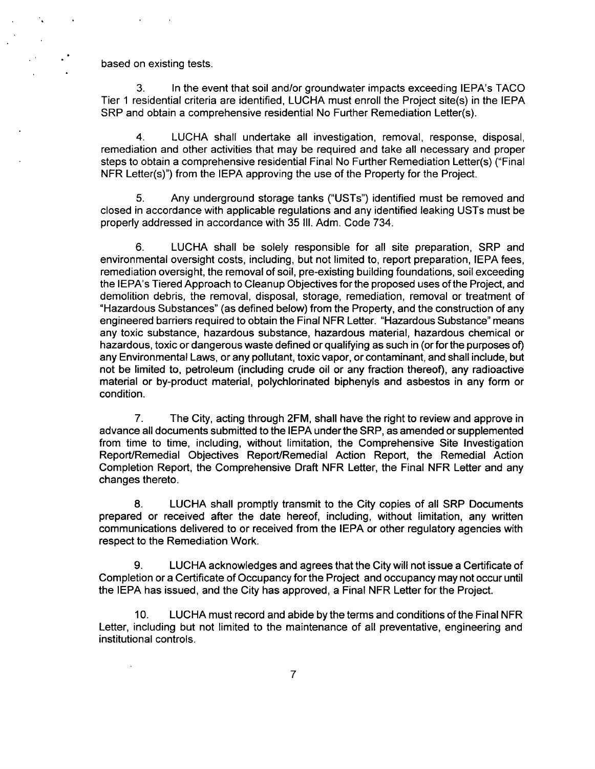based on existing tests.

3. In the event that soil and/or groundwater impacts exceeding lEPA's TACO Tier 1 residential criteria are identified, LUCHA must enroll the Project slte(s) in the lEPA SRP and obtain a comprehensive residential No Further Remediation Letter(s).

4. LUCHA shall undertake all investigation, removal, response, disposal, remediation and other activities that may be required and take all necessary and proper steps to obtain a comprehensive residential Final No Further Remediation Letter(s) ("Final NFR Letter(s)") from the lEPA approving the use of the Property for the Project.

5. Any underground storage tanks ("USTs") identified must be removed and closed in accordance with applicable regulations and any identified leaking USTs must be properly addressed in accordance with 35 III. Adm. Code 734.

6. LUCHA shall be solely responsible for all site preparation, SRP and environmental oversight costs, including, but not limited to, report preparation, lEPA fees, remediation oversight, the removal of soil, pre-existing building foundations, soil exceeding the IEPA's Tiered Approach to Cleanup Objectives for the proposed uses of the Project, and demolition debris, the removal, disposal, storage, remediation, removal or treatment of "Hazardous Substances" (as defined below) from the Property, and the construction of any engineered barriers required to obtain the Final NFR Letter. "Hazardous Substance" means any toxic substance, hazardous substance, hazardous material, hazardous chemical or hazardous, toxic or dangerous waste defined or qualifying as such in (or for the purposes of) any Environmental Laws, or any pollutant, toxic vapor, or contaminant, and shall include, but not be limited to, petroleum (including crude oil or any fraction thereof), any radioactive material or by-product material, polychlorinated biphenyls and asbestos in any form or condition.

7. The City, acting through 2FM, shall have the right to review and approve in advance all documents submitted to the lEPA underthe SRP, as amended or supplemented from time to time, including, without limitation, the Comprehensive Site Investigation Report/Remedial Objectives Report/Remedial Action Report, the Remedial Action Completion Report, the Comprehensive Draft NFR Letter, the Final NFR Letter and any changes thereto.

8. LUCHA shall promptly transmit to the City copies of all SRP Documents prepared or received after the date hereof, including, without limitation, any written communications delivered to or received from the lEPA or other regulatory agencies with respect to the Remediation Work.

9. LUCHA acknowledges and agrees that the City will not issue a Certificate of Completion or a Certificate of Occupancy for the Project and occupancy may not occur until the lEPA has issued, and the City has approved, a Final NFR Letter for the Project.

10. LUCHA must record and abide by the terms and conditions of the Final NFR Letter, including but not limited to the maintenance of all preventative, engineering and institutional controls.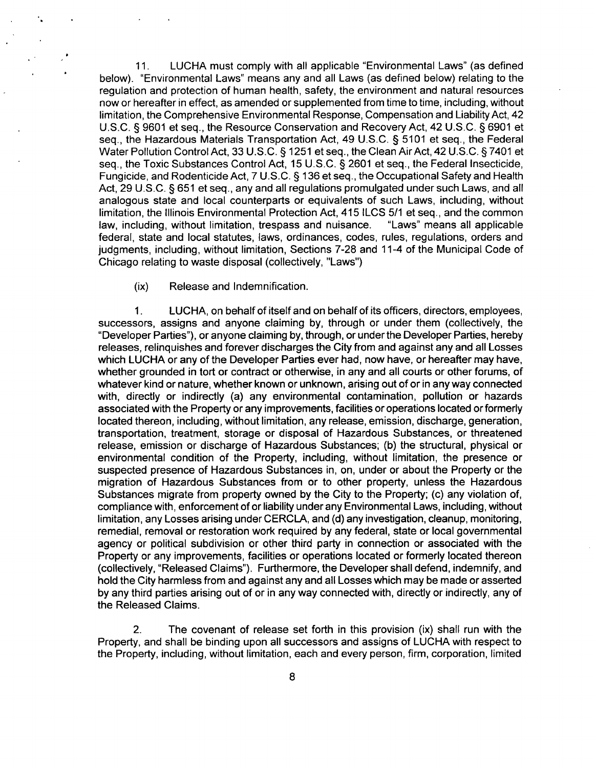11. LUCHA must comply with all applicable "Environmental Laws" (as defined below). "Environmental Laws" means any and all Laws (as defined below) relating to the regulation and protection of human health, safety, the environment and natural resources now or hereafter in effect, as amended or supplemented from time to time, including, without limitation, the Comprehensive Environmental Response, Compensation and Liability Act, 42 U.S.C. § 9601 et seq., the Resource Conservation and Recovery Act, 42 U.S.C. § 6901 et seq., the Hazardous Materials Transportation Act, 49 U.S.C. § 5101 et seq., the Federal Water Pollution Control Act, 33 U.S.C. § 1251 et seq., the Clean Air Act, 42 U.S.C. § 7401 et seq., the Toxic Substances Control Act, 15 U.S.C. § 2601 et seq., the Federal Insecticide, Fungicide, and Rodenticide Act, 7 U.S.C. § 136 etseq., the Occupational Safety and Health Act, 29 U.S.C. § 651 et seq., any and all regulations promulgated under such Laws, and all analogous state and local counterparts or equivalents of such Laws, including, without limitation, the Illinois Environmental Protection Act, 415 ILCS 5/1 et seq., and the common law, including, without limitation, trespass and nuisance. "Laws" means all applicable federal, state and local statutes, laws, ordinances, codes, rules, regulations, orders and judgments, including, without limitation. Sections 7-28 and 11-4 ofthe Municipal Code of Chicago relating to waste disposal (collectively, "Laws")

(ix) Release and Indemnification.

1. LUCHA, on behalf of itself and on behalf of its officers, directors, employees, successors, assigns and anyone claiming by, through or under them (collectively, the "Developer Parties"), or anyone claiming by, through, or underthe Developer Parties, hereby releases, relinquishes and forever discharges the City from and against any and all Losses which LUCHA or any of the Developer Parties ever had, now have, or hereafter may have, whether grounded in tort or contract or othenwise, in any and all courts or other forums, of whatever kind or nature, whether known or unknown, arising out of or in any way connected with, directly or indirectly (a) any environmental contamination, pollution or hazards associated with the Property or any improvements, facilities or operations located or formerly located thereon. Including, without limitation, any release, emission, discharge, generation, transportation, treatment, storage or disposal of Hazardous Substances, or threatened release, emission or discharge of Hazardous Substances; (b) the structural, physical or environmental condition of the Property, including, without limitation, the presence or suspected presence of Hazardous Substances in, on, under or about the Property or the migration of Hazardous Substances from or to other property, unless the Hazardous Substances migrate from property owned by the City to the Property; (c) any violation of, compliance with, enforcement of or liability under any Environmental Laws, including, without limitation, any Losses arising under CERCLA, and (d) any investigation, cleanup, monitoring, remedial, removal or restoration work required by any federal, state or local governmental agency or political subdivision or other third party in connection or associated with the Property or any improvements, facilities or operations located or formerly located thereon (collectively, "Released Claims"). Furthermore, the Developer shall defend, indemnify, and hold the City harmless from and against any and all Losses which may be made or asserted by any third parties arising out of or in any way connected with, directly or indirectly, any of the Released Claims.

2. The covenant of release set forth in this provision (ix) shall run with the Property, and shall be binding upon all successors and assigns of LUCHA with respect to the Property, including, without limitation, each and every person, firm, corporation, limited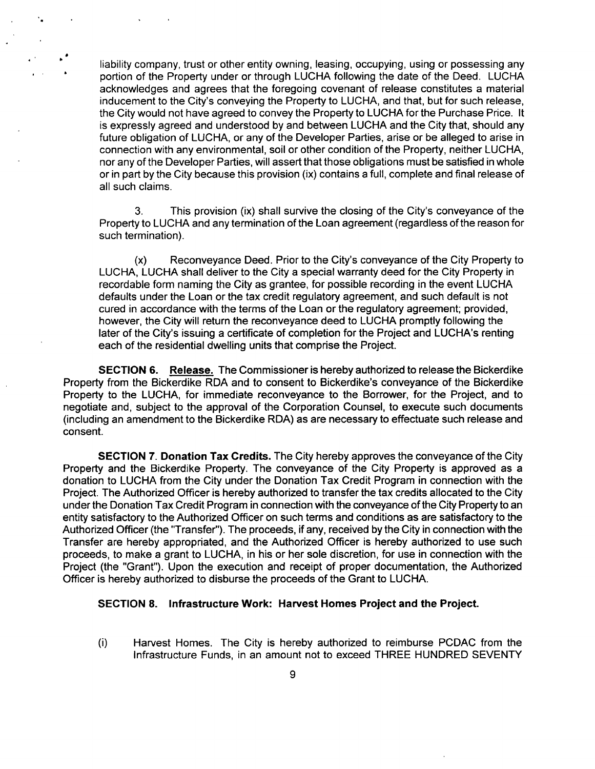liability company, trust or other entity owning, leasing, occupying, using or possessing any portion of the Property under or through LUCHA following the date of the Deed. LUCHA acknowledges and agrees that the foregoing covenant of release constitutes a material inducement to the City's conveying the Property to LUCHA, and that, but for such release, the City would not have agreed to convey the Property to LUCHA for the Purchase Price. It is expressly agreed and understood by and between LUCHA and the City that, should any future obligation of LUCHA, or any of the Developer Parties, arise or be alleged to arise in connection with any environmental, soil or other condition ofthe Property, neither LUCHA, nor any of the Developer Parties, will assert that those obligations must be satisfied in whole or in part by the City because this provision (ix) contains a full, complete and final release of all such claims.

 $\mathbf{r} = \mathbf{r}$ 

3. This provision (ix) shall survive the closing of the City's conveyance of the Property to LUCHA and any termination of the Loan agreement (regardless of the reason for such termination).

(x) Reconveyance Deed. Prior to the City's conveyance of the City Property to LUCHA, LUCHA shall deliver to the City a special warranty deed for the City Property in recordable form naming the City as grantee, for possible recording in the event LUCHA defaults under the Loan or the tax credit regulatory agreement, and such default is not cured in accordance with the terms of the Loan or the regulatory agreement; provided, however, the City will return the reconveyance deed to LUCHA promptly following the later of the City's issuing a certificate of completion for the Project and LUCHA's renting each of the residential dwelling units that comprise the Project.

SECTION 6. Release. The Commissioner is hereby authorized to release the Bickerdike Property from the Bickerdike RDA and to consent to Bickerdike's conveyance of the Bickerdike Property to the LUCHA, for immediate reconveyance to the Borrower, for the Project, and to negotiate and, subject to the approval of the Corporation Counsel, to execute such documents (including an amendment to the Bickerdike RDA) as are necessary to effectuate such release and consent.

SECTION 7. Donation Tax Credits. The City hereby approves the conveyance of the City Property and the Bickerdike Property. The conveyance of the City Property is approved as a donation to LUCHA from the City under the Donation Tax Credit Program in connection with the Project. The Authorized Officer is hereby authorized to transfer the tax credits allocated to the City under the Donation Tax Credit Program in connection with the conveyance of the City Property to an entity satisfactory to the Authorized Officer on such terms and conditions as are satisfactory to the Authorized Officer (the "Transfer"). The proceeds, if any, received by the City in connection with the Transfer are hereby appropriated, and the Authorized Officer is hereby authorized to use such proceeds, to make a grant to LUCHA, in his or her sole discretion, for use in connection with the Project (the "Grant"). Upon the execution and receipt of proper documentation, the Authorized Officer is hereby authorized to disburse the proceeds of the Grant to LUCHA.

#### **SECTION 8. Infrastructure Work: Harvest Homes Project and the Project.**

(i) Harvest Homes. The City is hereby authorized to reimburse PCDAC from the Infrastructure Funds, in an amount not to exceed THREE HUNDRED SEVENTY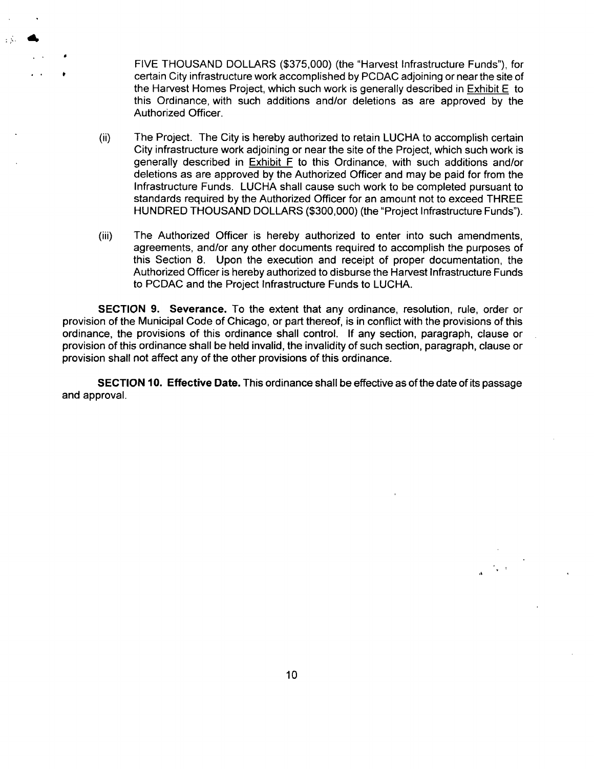FIVE THOUSAND DOLLARS (\$375,000) (the "Harvest Infrastructure Funds"), for certain City infrastructure work accomplished by PCDAC adjoining or near the site of the Harvest Homes Project, which such work is generally described in Exhibit E to this Ordinance, with such additions and/or deletions as are approved by the Authorized Officer.

- (il) The Project. The City is hereby authorized to retain LUCHA to accomplish certain City infrastructure work adjoining or near the site of the Project, which such work is generally described in Exhibit F to this Ordinance, with such additions and/or deletions as are approved by the Authorized Officer and may be paid for from the Infrastructure Funds. LUCHA shall cause such work to be completed pursuant to standards required by the Authorized Officer for an amount not to exceed THREE HUNDRED THOUSAND DOLLARS (\$300,000) (the "Project Infrastructure Funds").
- (iii) The Authorized Officer is hereby authorized to enter into such amendments, agreements, and/or any other documents required to accomplish the purposes of this Section 8. Upon the execution and receipt of proper documentation, the Authorized Officer is hereby authorized to disburse the Harvest Infrastructure Funds to PCDAC and the Project Infrastructure Funds to LUCHA.

SECTION 9. Severance. To the extent that any ordinance, resolution, rule, order or provision of the Municipal Code of Chicago, or part thereof, is in conflict with the provisions of this ordinance, the provisions of this ordinance shall control. If any section, paragraph, clause or provision of this ordinance shall be held invalid, the invalidity of such section, paragraph, clause or provision shall not affect any of the other provisions of this ordinance.

SECTION 10. Effective Date. This ordinance shall be effective as ofthe date of its passage and approval.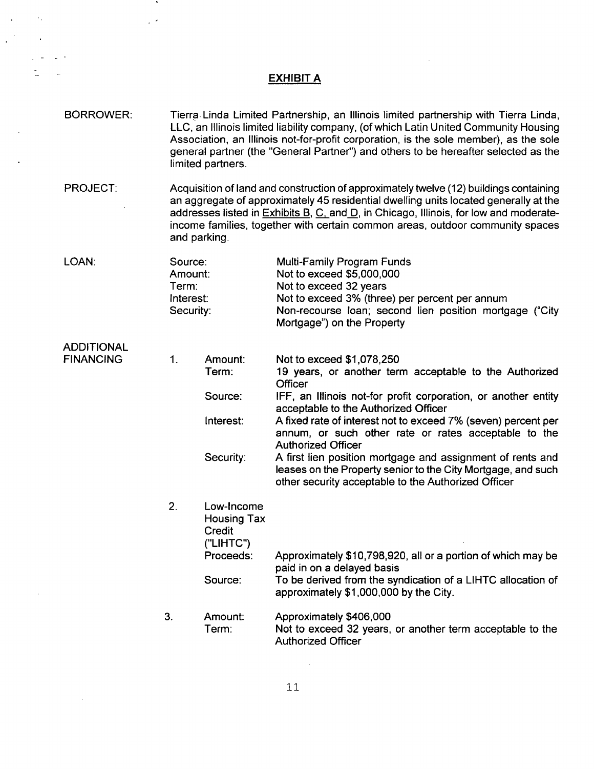## EXHIBIT A

 $\mathcal{L}^{\text{max}}_{\text{max}}$ 

 $\sim$ 

 $\mathcal{L}(\mathcal{A})$ 

 $\mathcal{L}_{\text{max}} = 2\sqrt{2}$ 

 $\frac{1}{2} \sum_{i=1}^{n} \frac{1}{2} \sum_{j=1}^{n} \frac{1}{2} \sum_{j=1}^{n} \frac{1}{2} \sum_{j=1}^{n} \frac{1}{2} \sum_{j=1}^{n} \frac{1}{2} \sum_{j=1}^{n} \frac{1}{2} \sum_{j=1}^{n} \frac{1}{2} \sum_{j=1}^{n} \frac{1}{2} \sum_{j=1}^{n} \frac{1}{2} \sum_{j=1}^{n} \frac{1}{2} \sum_{j=1}^{n} \frac{1}{2} \sum_{j=1}^{n} \frac{1}{2} \sum_{j=1}^{n$ 

 $\mathcal{L}(\mathcal{A})$  and  $\mathcal{A}(\mathcal{A})$ 

 $\sim$ 

 $\sim 10^{11}$ 

 $\mathcal{L}^{\text{max}}_{\text{max}}$  , where  $\mathcal{L}^{\text{max}}_{\text{max}}$ 

 $\hat{u}_\mathrm{c}$  is a set of

 $\frac{1}{2}$  ,  $\frac{1}{2}$ 

| <b>BORROWER:</b>                      | Tierra Linda Limited Partnership, an Illinois limited partnership with Tierra Linda,<br>LLC, an Illinois limited liability company, (of which Latin United Community Housing<br>Association, an Illinois not-for-profit corporation, is the sole member), as the sole<br>general partner (the "General Partner") and others to be hereafter selected as the<br>limited partners. |                                                                                                                                                                                                                                                                                                                                                                          |                                                                                                                                                                                                                                                                                                                                                                                                                                                                                                                                                            |  |
|---------------------------------------|----------------------------------------------------------------------------------------------------------------------------------------------------------------------------------------------------------------------------------------------------------------------------------------------------------------------------------------------------------------------------------|--------------------------------------------------------------------------------------------------------------------------------------------------------------------------------------------------------------------------------------------------------------------------------------------------------------------------------------------------------------------------|------------------------------------------------------------------------------------------------------------------------------------------------------------------------------------------------------------------------------------------------------------------------------------------------------------------------------------------------------------------------------------------------------------------------------------------------------------------------------------------------------------------------------------------------------------|--|
| <b>PROJECT:</b>                       |                                                                                                                                                                                                                                                                                                                                                                                  | Acquisition of land and construction of approximately twelve (12) buildings containing<br>an aggregate of approximately 45 residential dwelling units located generally at the<br>addresses listed in Exhibits B, C, and D, in Chicago, Illinois, for low and moderate-<br>income families, together with certain common areas, outdoor community spaces<br>and parking. |                                                                                                                                                                                                                                                                                                                                                                                                                                                                                                                                                            |  |
| LOAN:                                 | Source:<br>Amount:<br>Term:<br>Interest:<br>Security:                                                                                                                                                                                                                                                                                                                            |                                                                                                                                                                                                                                                                                                                                                                          | Multi-Family Program Funds<br>Not to exceed \$5,000,000<br>Not to exceed 32 years<br>Not to exceed 3% (three) per percent per annum<br>Non-recourse loan; second lien position mortgage ("City<br>Mortgage") on the Property                                                                                                                                                                                                                                                                                                                               |  |
| <b>ADDITIONAL</b><br><b>FINANCING</b> | 1.                                                                                                                                                                                                                                                                                                                                                                               | Amount:<br>Term:<br>Source:<br>Interest:<br>Security:                                                                                                                                                                                                                                                                                                                    | Not to exceed \$1,078,250<br>19 years, or another term acceptable to the Authorized<br><b>Officer</b><br>IFF, an Illinois not-for profit corporation, or another entity<br>acceptable to the Authorized Officer<br>A fixed rate of interest not to exceed 7% (seven) percent per<br>annum, or such other rate or rates acceptable to the<br><b>Authorized Officer</b><br>A first lien position mortgage and assignment of rents and<br>leases on the Property senior to the City Mortgage, and such<br>other security acceptable to the Authorized Officer |  |
|                                       | 2.                                                                                                                                                                                                                                                                                                                                                                               | Low-Income<br><b>Housing Tax</b><br>Credit<br>("LIHTC")<br>Proceeds:<br>Source:                                                                                                                                                                                                                                                                                          | Approximately \$10,798,920, all or a portion of which may be<br>paid in on a delayed basis<br>To be derived from the syndication of a LIHTC allocation of<br>approximately \$1,000,000 by the City.                                                                                                                                                                                                                                                                                                                                                        |  |
|                                       | 3.                                                                                                                                                                                                                                                                                                                                                                               | Amount:<br>Term:                                                                                                                                                                                                                                                                                                                                                         | Approximately \$406,000<br>Not to exceed 32 years, or another term acceptable to the<br><b>Authorized Officer</b>                                                                                                                                                                                                                                                                                                                                                                                                                                          |  |

 $\mathcal{L}_{\rm{max}}$  ,  $\mathcal{L}_{\rm{max}}$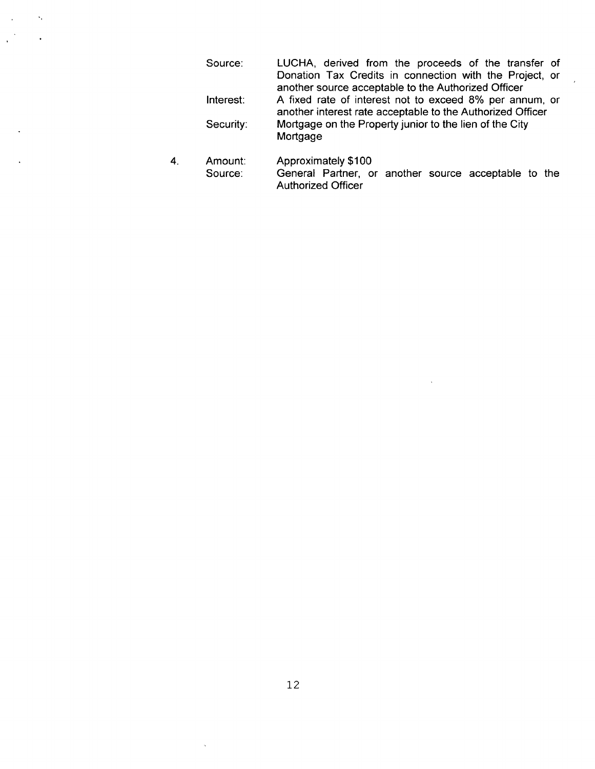| Source:   | LUCHA, derived from the proceeds of the transfer of                                                                   |  |  |  |  |  |
|-----------|-----------------------------------------------------------------------------------------------------------------------|--|--|--|--|--|
|           | Donation Tax Credits in connection with the Project, or                                                               |  |  |  |  |  |
|           | another source acceptable to the Authorized Officer                                                                   |  |  |  |  |  |
| Interest: | A fixed rate of interest not to exceed 8% per annum, or<br>another interest rate acceptable to the Authorized Officer |  |  |  |  |  |
| Security: | Mortgage on the Property junior to the lien of the City<br>Mortgage                                                   |  |  |  |  |  |

 $\sim$   $\sim$ 

 $\overline{4}$ . Amount: Approximately \$100 Source: General Partner, or another source acceptable to the Authorized Officer

 $\mathcal{L}_{\text{max}}$  and  $\mathcal{L}_{\text{max}}$ 

 $\sim 10$ 

 $\mathcal{L}^{\mathcal{A}}$ 

 $\ddot{\phantom{1}}$ 

 $\zeta$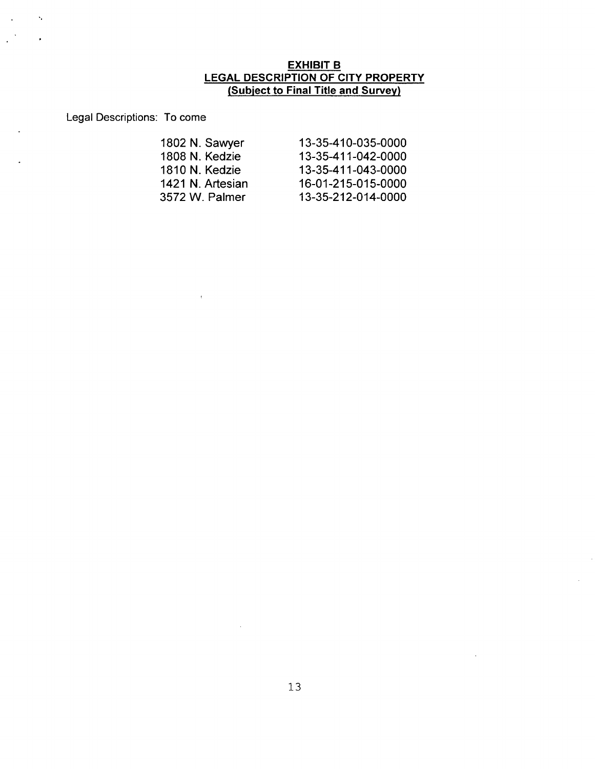### EXHIBIT B LEGAL DESCRIPTION OF CITY PROPERTY (Subject to Final Title and Survey)

Legal Descriptions: To come

 $\bar{\mathbf{t}}$ 

 $\ddot{\phantom{a}}$ 

 $\mathcal{L}_{\mathbf{r}}$ 

 $\ddot{\phantom{a}}$ 

| 1802 N. Sawyer   | 13-35-410-035-0000 |
|------------------|--------------------|
| 1808 N. Kedzie   | 13-35-411-042-0000 |
| 1810 N. Kedzie   | 13-35-411-043-0000 |
| 1421 N. Artesian | 16-01-215-015-0000 |
| 3572 W. Palmer   | 13-35-212-014-0000 |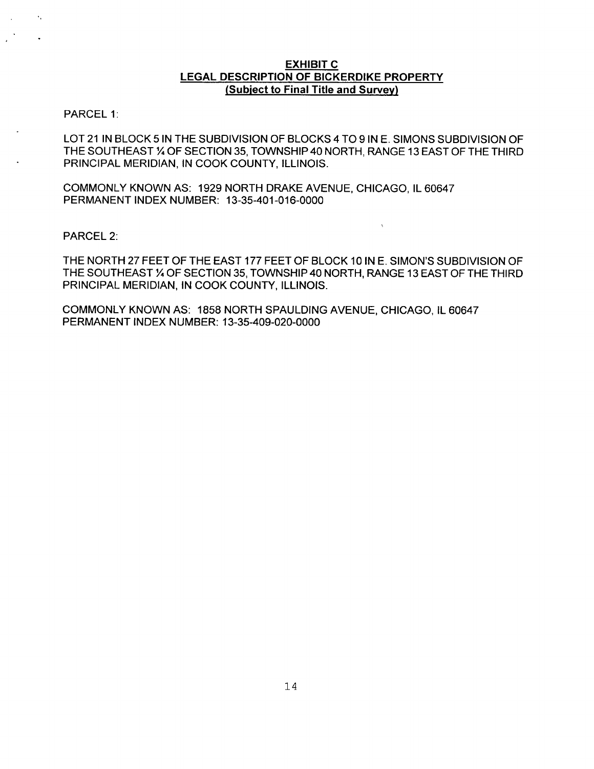### **EXHIBIT C LEGAL DESCRIPTION OF BICKERDIKE PROPERTY (Subject to Final Title and Survey)**

PARCEL 1:

 $\bullet_{\alpha}$ 

LOT 21 IN BLOCK 5 IN THE SUBDIVISION OF BLOCKS 4 TO 9 IN E. SIMONS SUBDIVISION OF THE SOUTHEAST % OF SECTION 35, TOWNSHIP 40 NORTH, RANGE 13 EAST OF THE THIRD PRINCIPAL MERIDIAN, IN COOK COUNTY, ILLINOIS.

COMMONLY KNOWN AS: 1929 NORTH DRAKE AVENUE, CHICAGO, IL 60647 PERMANENT INDEX NUMBER: 13-35-401-016-0000

PARCEL 2:

THE NORTH 27 FEET OF THE EAST 177 FEET OF BLOCK 10 IN E. SIMON'S SUBDIVISION OF THE SOUTHEAST % OF SECTION 35, TOWNSHIP 40 NORTH, RANGE 13 EAST OF THE THIRD PRINCIPAL MERIDIAN, IN COOK COUNTY, ILLINOIS.

COMMONLY KNOWN AS: 1858 NORTH SPAULDING AVENUE, CHICAGO, IL 60647 PERMANENT INDEX NUMBER: 13-35-409-020-0000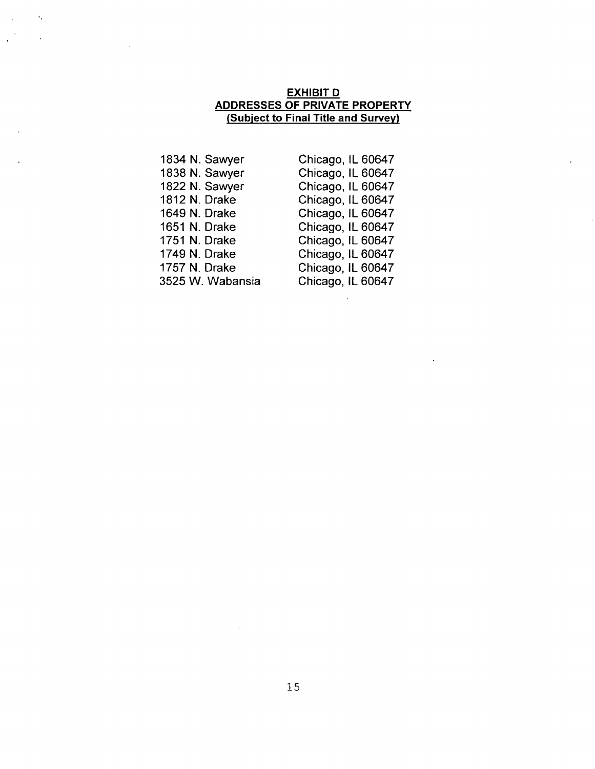## EXHIBIT D ADDRESSES OF PRIVATE PROPERTY (Subject to Final Title and Survey)

1834 N. Sawyer 1838 N. Sawyer 1822 N. Sawyer 1812 N. Drake 1649 N. Drake 1651 N. Drake 1751 N. Drake 1749 N. Drake 1757 N. Drake 3525 W. Wabansia

 $\mathbf{v}_i$ 

Chicago, IL 60647 Chicago, IL 60647 Chicago, IL 60647 Chicago, IL 60647 Chicago, IL 60647 Chicago, IL 60647 Chicago, IL 60647 Chicago, IL 60647 Chicago, IL 60647 Chicago, IL 60647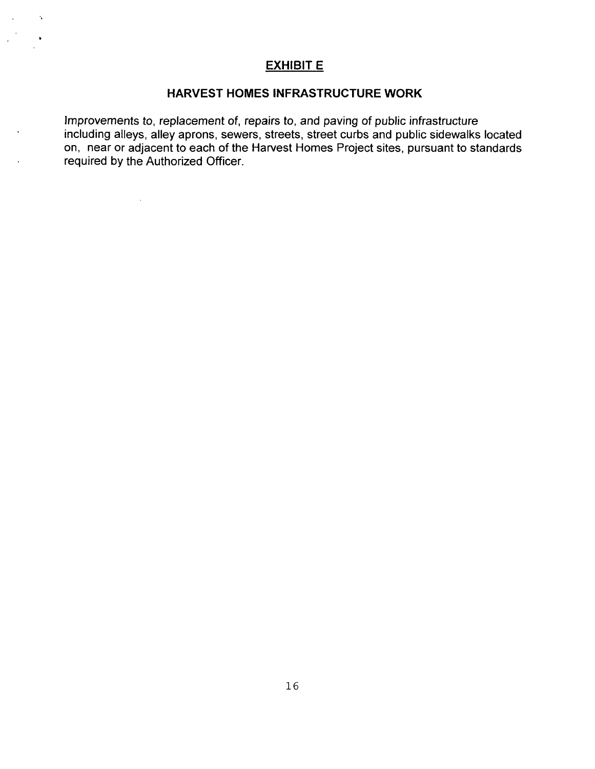## **EXHIBIT E**

 $\lambda_{\rm s}$ 

 $\sim 10^{11}$ 

 $\mathcal{L}^{\mathcal{A}}$ 

### **HARVEST HOMES INFRASTRUCTURE WORK**

Improvements to, replacement of, repairs to, and paving of public infrastructure including alleys, alley aprons, sewers, streets, street curbs and public sidewalks located on, near or adjacent to each of the Harvest Homes Project sites, pursuant to standards required by the Authorized Officer.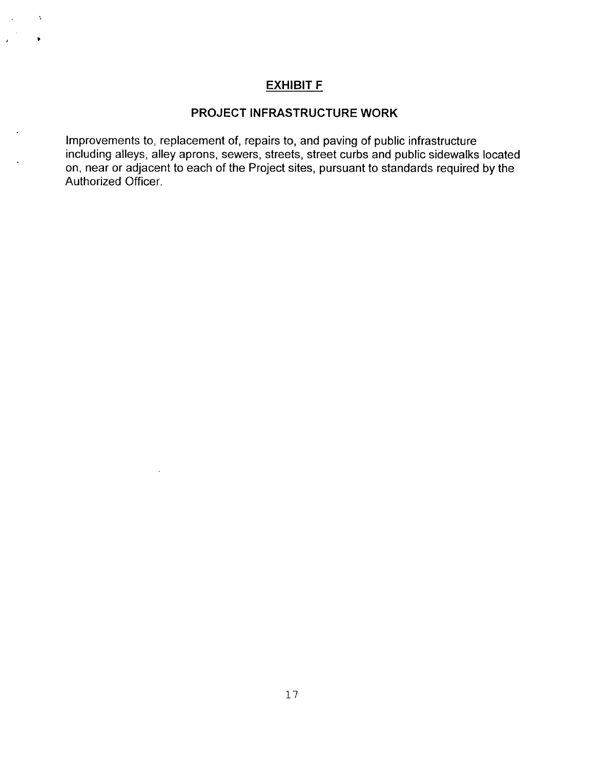## **EXHIBIT F**

 $\chi$ 

## **PROJECT INFRASTRUCTURE WORK**

Improvements to, replacement of, repairs to, and paving of public infrastructure including alleys, alley aprons, sewers, streets, street curbs and public sidewalks located on, near or adjacent to each of the Project sites, pursuant to standards required by the Authorized Officer.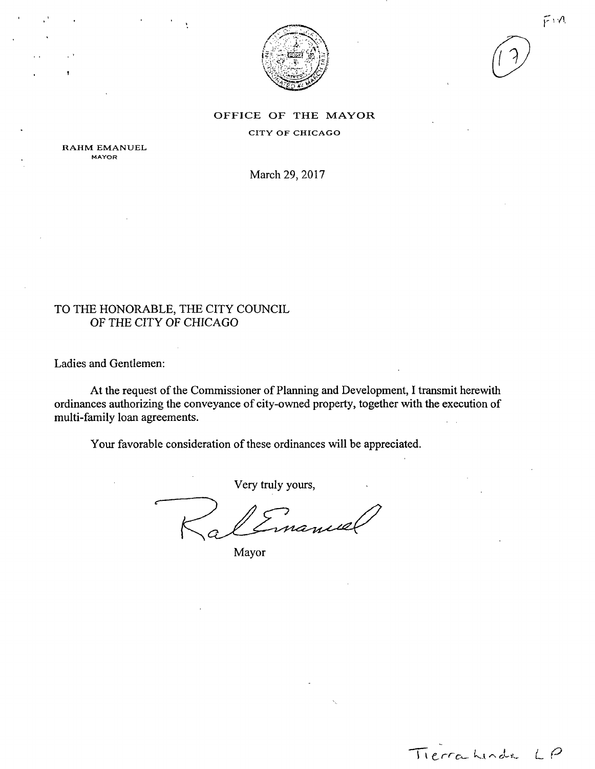

Tierra Linda LP

#### OFFICE OF THE MAYOR

CITY OF CHICAGO

RAHM EMANUEL MAYOR

March 29, 2017

## TO THE HONORABLE, THE CITY COUNCIL OF THE CITY OF CHICAGO

Ladies and Gentlemen:

At the request of the Commissioner of Planning and Development, I transmit herewith ordinances authorizing the conveyance of city-owned property, together with the execution of multi-family loan agreements.

Your favorable consideration of these ordinances will be appreciated.

Very truly yours,

Mayor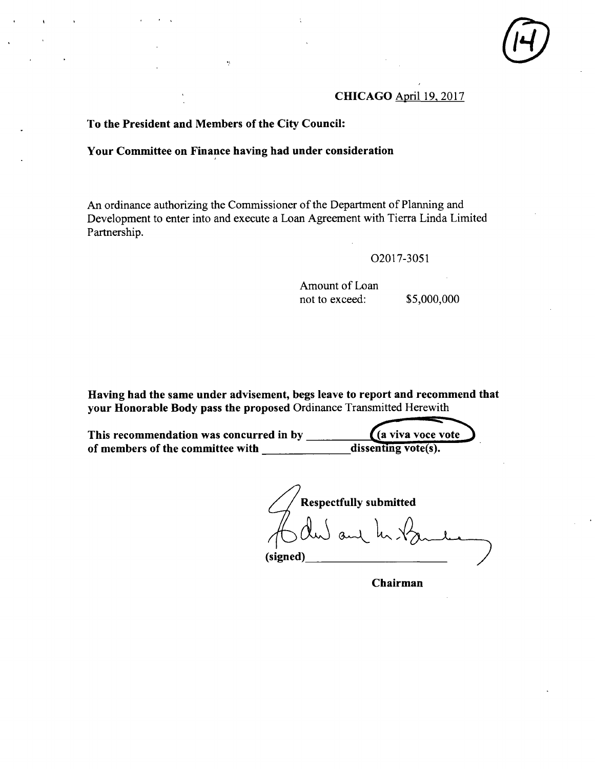## **CHICAGO April 19.2017**

## **To the President and Members of the City Council:**

Â,

## **Your Committee on Finance having had under consideration**

An ordinance authorizing the Commissioner of the Department of Planning and Development to enter into and execute a Loan Agreement with Tierra Linda Limited Partnership.

#### 02017-3051

Amount of Loan not to exceed: \$5,000,000

Having had the same under advisement, begs leave to report and recommend that your Honorable Body pass the proposed Ordinance Transmitted Herewith

**This recommendation was concurred in by ^(a viva voce vote**  of members of the committee with **discreparts** 

**Respectfully submitted (signed)** 

**Chairman**